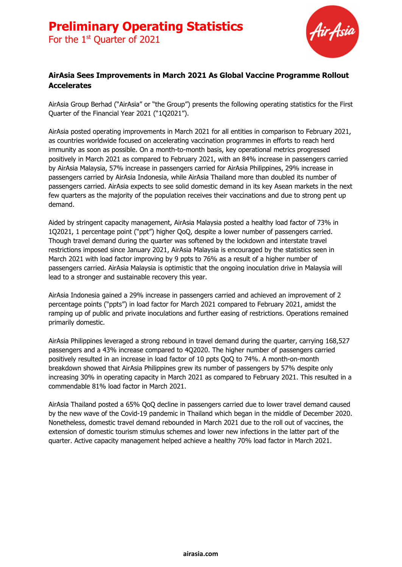

## **AirAsia Sees Improvements in March 2021 As Global Vaccine Programme Rollout Accelerates**

AirAsia Group Berhad ("AirAsia" or "the Group") presents the following operating statistics for the First Quarter of the Financial Year 2021 ("1Q2021").

AirAsia posted operating improvements in March 2021 for all entities in comparison to February 2021, as countries worldwide focused on accelerating vaccination programmes in efforts to reach herd immunity as soon as possible. On a month-to-month basis, key operational metrics progressed positively in March 2021 as compared to February 2021, with an 84% increase in passengers carried by AirAsia Malaysia, 57% increase in passengers carried for AirAsia Philippines, 29% increase in passengers carried by AirAsia Indonesia, while AirAsia Thailand more than doubled its number of passengers carried. AirAsia expects to see solid domestic demand in its key Asean markets in the next few quarters as the majority of the population receives their vaccinations and due to strong pent up demand.

Aided by stringent capacity management, AirAsia Malaysia posted a healthy load factor of 73% in 1Q2021, 1 percentage point ("ppt") higher QoQ, despite a lower number of passengers carried. Though travel demand during the quarter was softened by the lockdown and interstate travel restrictions imposed since January 2021, AirAsia Malaysia is encouraged by the statistics seen in March 2021 with load factor improving by 9 ppts to 76% as a result of a higher number of passengers carried. AirAsia Malaysia is optimistic that the ongoing inoculation drive in Malaysia will lead to a stronger and sustainable recovery this year.

AirAsia Indonesia gained a 29% increase in passengers carried and achieved an improvement of 2 percentage points ("ppts") in load factor for March 2021 compared to February 2021, amidst the ramping up of public and private inoculations and further easing of restrictions. Operations remained primarily domestic.

AirAsia Philippines leveraged a strong rebound in travel demand during the quarter, carrying 168,527 passengers and a 43% increase compared to 4Q2020. The higher number of passengers carried positively resulted in an increase in load factor of 10 ppts QoQ to 74%. A month-on-month breakdown showed that AirAsia Philippines grew its number of passengers by 57% despite only increasing 30% in operating capacity in March 2021 as compared to February 2021. This resulted in a commendable 81% load factor in March 2021.

AirAsia Thailand posted a 65% QoQ decline in passengers carried due to lower travel demand caused by the new wave of the Covid-19 pandemic in Thailand which began in the middle of December 2020. Nonetheless, domestic travel demand rebounded in March 2021 due to the roll out of vaccines, the extension of domestic tourism stimulus schemes and lower new infections in the latter part of the quarter. Active capacity management helped achieve a healthy 70% load factor in March 2021.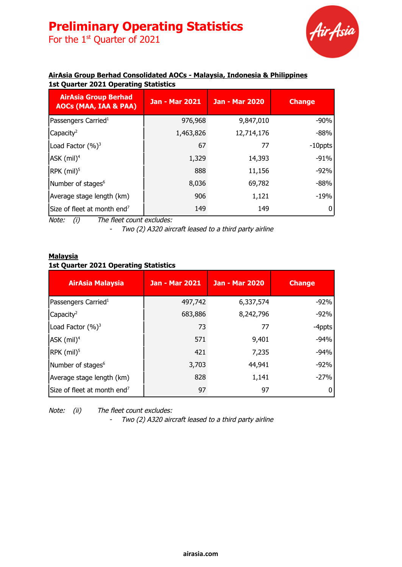# **Preliminary Operating Statistics**

For the  $1<sup>st</sup>$  Quarter of 2021



### **AirAsia Group Berhad Consolidated AOCs - Malaysia, Indonesia & Philippines 1st Quarter 2021 Operating Statistics**

| <b>AirAsia Group Berhad</b><br><b>AOCs (MAA, IAA &amp; PAA)</b> | <b>Jan - Mar 2021</b> | <b>Jan - Mar 2020</b> | <b>Change</b> |
|-----------------------------------------------------------------|-----------------------|-----------------------|---------------|
| Passengers Carried <sup>1</sup>                                 | 976,968               | 9,847,010             | $-90%$        |
| Capacity <sup>2</sup>                                           | 1,463,826             | 12,714,176            | -88%          |
| Load Factor (%) <sup>3</sup>                                    | 67                    | 77                    | $-10$ ppts    |
| $ASK$ (mil) <sup>4</sup>                                        | 1,329                 | 14,393                | $-91%$        |
| $RPK$ (mil) <sup>5</sup>                                        | 888                   | 11,156                | $-92%$        |
| Number of stages <sup>6</sup>                                   | 8,036                 | 69,782                | $-88%$        |
| Average stage length (km)                                       | 906                   | 1,121                 | -19%          |
| Size of fleet at month end <sup>7</sup>                         | 149                   | 149                   | 0             |

Note: (i) The fleet count excludes:

- Two (2) A320 aircraft leased to <sup>a</sup> third party airline

### **Malaysia**

## **1st Quarter 2021 Operating Statistics**

| <b>AirAsia Malaysia</b>                 | <b>Jan - Mar 2021</b> | <b>Jan - Mar 2020</b> | <b>Change</b> |
|-----------------------------------------|-----------------------|-----------------------|---------------|
| Passengers Carried <sup>1</sup>         | 497,742               | 6,337,574             | $-92%$        |
| Capacity <sup>2</sup>                   | 683,886               | 8,242,796             | $-92%$        |
| Load Factor $(%)^3$                     | 73                    | 77                    | -4ppts        |
| $ASK$ (mil) <sup>4</sup>                | 571                   | 9,401                 | $-94%$        |
| $\textsf{RPK}$ (mil) <sup>5</sup>       | 421                   | 7,235                 | $-94%$        |
| Number of stages <sup>6</sup>           | 3,703                 | 44,941                | $-92%$        |
| Average stage length (km)               | 828                   | 1,141                 | $-27%$        |
| Size of fleet at month end <sup>7</sup> | 97                    | 97                    |               |

Note: (ii) The fleet count excludes:

-Two (2) A320 aircraft leased to <sup>a</sup> third party airline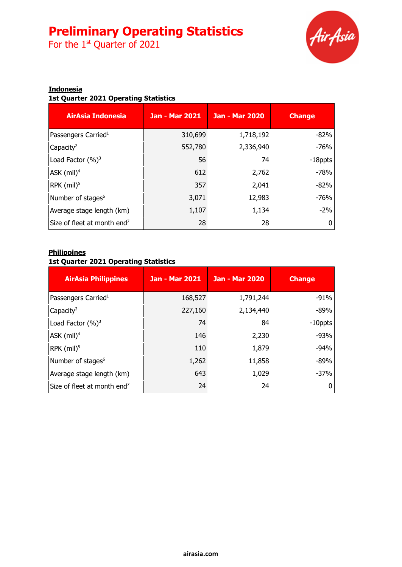# **Preliminary Operating Statistics**

For the  $1<sup>st</sup>$  Quarter of 2021



## **Indonesia**

## **1st Quarter 2021 Operating Statistics**

| <b>AirAsia Indonesia</b>                | <b>Jan - Mar 2021</b> | <b>Jan - Mar 2020</b> | <b>Change</b> |
|-----------------------------------------|-----------------------|-----------------------|---------------|
| Passengers Carried <sup>1</sup>         | 310,699               | 1,718,192             | $-82%$        |
| Capacity <sup>2</sup>                   | 552,780               | 2,336,940             | $-76%$        |
| Load Factor $(%)^3$                     | 56                    | 74                    | -18ppts       |
| $AK$ (mil) <sup>4</sup>                 | 612                   | 2,762                 | $-78%$        |
| $\textsf{RPK}$ (mil) <sup>5</sup>       | 357                   | 2,041                 | $-82%$        |
| Number of stages <sup>6</sup>           | 3,071                 | 12,983                | $-76%$        |
| Average stage length (km)               | 1,107                 | 1,134                 | $-2%$         |
| Size of fleet at month end <sup>7</sup> | 28                    | 28                    |               |

### **Philippines**

### **1st Quarter 2021 Operating Statistics**

| <b>AirAsia Philippines</b>              | <b>Jan - Mar 2021</b> | <b>Jan - Mar 2020</b> | <b>Change</b> |
|-----------------------------------------|-----------------------|-----------------------|---------------|
| Passengers Carried <sup>1</sup>         | 168,527               | 1,791,244             | $-91%$        |
| Capacity <sup>2</sup>                   | 227,160               | 2,134,440             | $-89%$        |
| Load Factor $(\%)^3$                    | 74                    | 84                    | $-10$ ppts    |
| ASK (mil) <sup>4</sup>                  | 146                   | 2,230                 | $-93%$        |
| $RPK$ (mil) <sup>5</sup>                | 110                   | 1,879                 | $-94%$        |
| Number of stages <sup>6</sup>           | 1,262                 | 11,858                | $-89%$        |
| Average stage length (km)               | 643                   | 1,029                 | $-37%$        |
| Size of fleet at month end <sup>7</sup> | 24                    | 24                    |               |